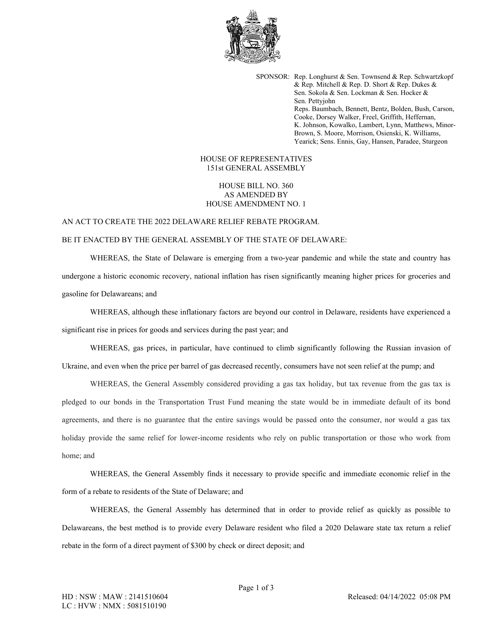

SPONSOR: Rep. Longhurst & Sen. Townsend & Rep. Schwartzkopf & Rep. Mitchell & Rep. D. Short & Rep. Dukes & Sen. Sokola & Sen. Lockman & Sen. Hocker & Sen. Pettyjohn Reps. Baumbach, Bennett, Bentz, Bolden, Bush, Carson, Cooke, Dorsey Walker, Freel, Griffith, Heffernan, K. Johnson, Kowalko, Lambert, Lynn, Matthews, Minor-Brown, S. Moore, Morrison, Osienski, K. Williams, Yearick; Sens. Ennis, Gay, Hansen, Paradee, Sturgeon

## HOUSE OF REPRESENTATIVES 151st GENERAL ASSEMBLY

## HOUSE BILL NO. 360 AS AMENDED BY HOUSE AMENDMENT NO. 1

## AN ACT TO CREATE THE 2022 DELAWARE RELIEF REBATE PROGRAM. BE IT ENACTED BY THE GENERAL ASSEMBLY OF THE STATE OF DELAWARE:

WHEREAS, the State of Delaware is emerging from a two-year pandemic and while the state and country has undergone a historic economic recovery, national inflation has risen significantly meaning higher prices for groceries and gasoline for Delawareans; and

WHEREAS, although these inflationary factors are beyond our control in Delaware, residents have experienced a significant rise in prices for goods and services during the past year; and

WHEREAS, gas prices, in particular, have continued to climb significantly following the Russian invasion of Ukraine, and even when the price per barrel of gas decreased recently, consumers have not seen relief at the pump; and

WHEREAS, the General Assembly considered providing a gas tax holiday, but tax revenue from the gas tax is pledged to our bonds in the Transportation Trust Fund meaning the state would be in immediate default of its bond agreements, and there is no guarantee that the entire savings would be passed onto the consumer, nor would a gas tax holiday provide the same relief for lower-income residents who rely on public transportation or those who work from home; and

WHEREAS, the General Assembly finds it necessary to provide specific and immediate economic relief in the form of a rebate to residents of the State of Delaware; and

WHEREAS, the General Assembly has determined that in order to provide relief as quickly as possible to Delawareans, the best method is to provide every Delaware resident who filed a 2020 Delaware state tax return a relief rebate in the form of a direct payment of \$300 by check or direct deposit; and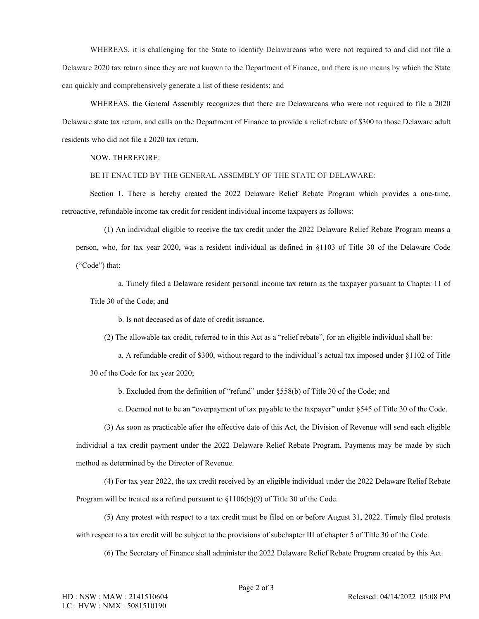WHEREAS, it is challenging for the State to identify Delawareans who were not required to and did not file a Delaware 2020 tax return since they are not known to the Department of Finance, and there is no means by which the State can quickly and comprehensively generate a list of these residents; and

WHEREAS, the General Assembly recognizes that there are Delawareans who were not required to file a 2020 Delaware state tax return, and calls on the Department of Finance to provide a relief rebate of \$300 to those Delaware adult residents who did not file a 2020 tax return.

## NOW, THEREFORE:

BE IT ENACTED BY THE GENERAL ASSEMBLY OF THE STATE OF DELAWARE:

Section 1. There is hereby created the 2022 Delaware Relief Rebate Program which provides a one-time, retroactive, refundable income tax credit for resident individual income taxpayers as follows:

(1) An individual eligible to receive the tax credit under the 2022 Delaware Relief Rebate Program means a person, who, for tax year 2020, was a resident individual as defined in §1103 of Title 30 of the Delaware Code ("Code") that:

a. Timely filed a Delaware resident personal income tax return as the taxpayer pursuant to Chapter 11 of Title 30 of the Code; and

b. Is not deceased as of date of credit issuance.

(2) The allowable tax credit, referred to in this Act as a "relief rebate", for an eligible individual shall be:

a. A refundable credit of \$300, without regard to the individual's actual tax imposed under §1102 of Title 30 of the Code for tax year 2020;

b. Excluded from the definition of "refund" under §558(b) of Title 30 of the Code; and

c. Deemed not to be an "overpayment of tax payable to the taxpayer" under §545 of Title 30 of the Code.

(3) As soon as practicable after the effective date of this Act, the Division of Revenue will send each eligible individual a tax credit payment under the 2022 Delaware Relief Rebate Program. Payments may be made by such method as determined by the Director of Revenue.

(4) For tax year 2022, the tax credit received by an eligible individual under the 2022 Delaware Relief Rebate Program will be treated as a refund pursuant to §1106(b)(9) of Title 30 of the Code.

(5) Any protest with respect to a tax credit must be filed on or before August 31, 2022. Timely filed protests with respect to a tax credit will be subject to the provisions of subchapter III of chapter 5 of Title 30 of the Code.

(6) The Secretary of Finance shall administer the 2022 Delaware Relief Rebate Program created by this Act.